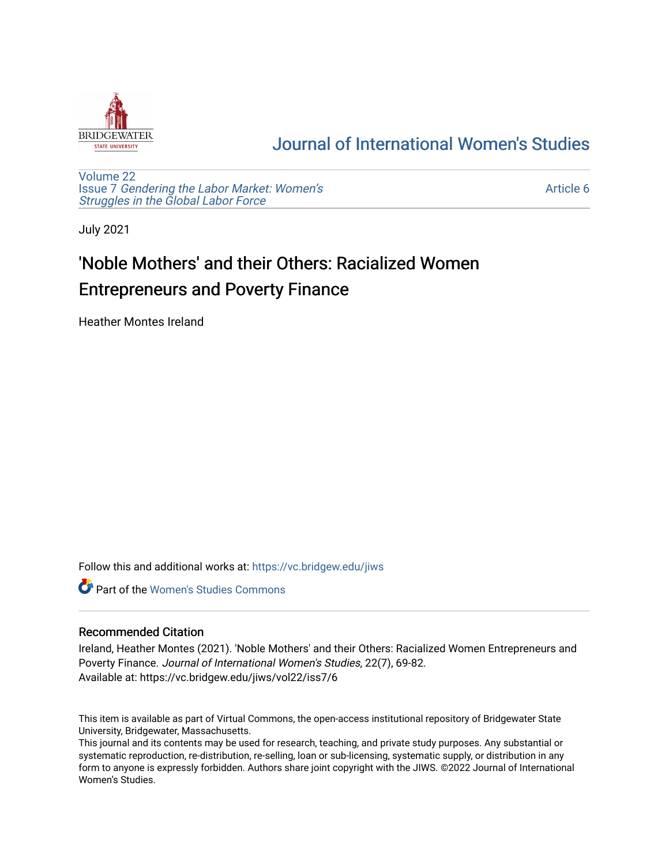

## [Journal of International Women's Studies](https://vc.bridgew.edu/jiws)

[Volume 22](https://vc.bridgew.edu/jiws/vol22) Issue 7 [Gendering the Labor Market: Women's](https://vc.bridgew.edu/jiws/vol22/iss7) [Struggles in the Global Labor Force](https://vc.bridgew.edu/jiws/vol22/iss7)

[Article 6](https://vc.bridgew.edu/jiws/vol22/iss7/6) 

July 2021

# 'Noble Mothers' and their Others: Racialized Women Entrepreneurs and Poverty Finance

Heather Montes Ireland

Follow this and additional works at: [https://vc.bridgew.edu/jiws](https://vc.bridgew.edu/jiws?utm_source=vc.bridgew.edu%2Fjiws%2Fvol22%2Fiss7%2F6&utm_medium=PDF&utm_campaign=PDFCoverPages)

**C** Part of the Women's Studies Commons

## Recommended Citation

Ireland, Heather Montes (2021). 'Noble Mothers' and their Others: Racialized Women Entrepreneurs and Poverty Finance. Journal of International Women's Studies, 22(7), 69-82. Available at: https://vc.bridgew.edu/jiws/vol22/iss7/6

This item is available as part of Virtual Commons, the open-access institutional repository of Bridgewater State University, Bridgewater, Massachusetts.

This journal and its contents may be used for research, teaching, and private study purposes. Any substantial or systematic reproduction, re-distribution, re-selling, loan or sub-licensing, systematic supply, or distribution in any form to anyone is expressly forbidden. Authors share joint copyright with the JIWS. ©2022 Journal of International Women's Studies.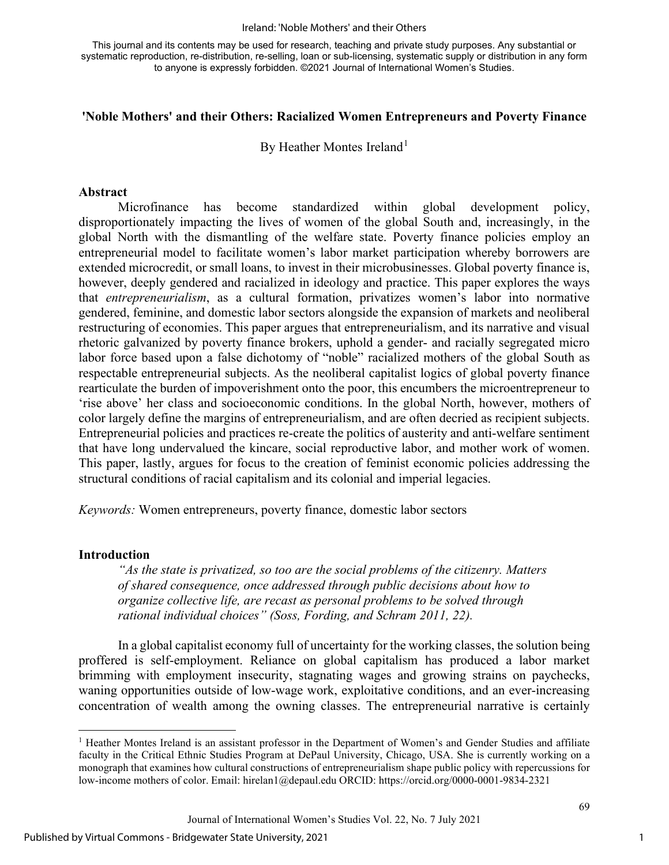#### Ireland: 'Noble Mothers' and their Others

This journal and its contents may be used for research, teaching and private study purposes. Any substantial or systematic reproduction, re-distribution, re-selling, loan or sub-licensing, systematic supply or distribution in any form to anyone is expressly forbidden. ©2021 Journal of International Women's Studies.

### **'Noble Mothers' and their Others: Racialized Women Entrepreneurs and Poverty Finance**

By Heather Montes Ireland<sup>[1](#page-1-0)</sup>

#### **Abstract**

Microfinance has become standardized within global development policy, disproportionately impacting the lives of women of the global South and, increasingly, in the global North with the dismantling of the welfare state. Poverty finance policies employ an entrepreneurial model to facilitate women's labor market participation whereby borrowers are extended microcredit, or small loans, to invest in their microbusinesses. Global poverty finance is, however, deeply gendered and racialized in ideology and practice. This paper explores the ways that *entrepreneurialism*, as a cultural formation, privatizes women's labor into normative gendered, feminine, and domestic labor sectors alongside the expansion of markets and neoliberal restructuring of economies. This paper argues that entrepreneurialism, and its narrative and visual rhetoric galvanized by poverty finance brokers, uphold a gender- and racially segregated micro labor force based upon a false dichotomy of "noble" racialized mothers of the global South as respectable entrepreneurial subjects. As the neoliberal capitalist logics of global poverty finance rearticulate the burden of impoverishment onto the poor, this encumbers the microentrepreneur to 'rise above' her class and socioeconomic conditions. In the global North, however, mothers of color largely define the margins of entrepreneurialism, and are often decried as recipient subjects. Entrepreneurial policies and practices re-create the politics of austerity and anti-welfare sentiment that have long undervalued the kincare, social reproductive labor, and mother work of women. This paper, lastly, argues for focus to the creation of feminist economic policies addressing the structural conditions of racial capitalism and its colonial and imperial legacies.

*Keywords:* Women entrepreneurs, poverty finance, domestic labor sectors

#### **Introduction**

*"As the state is privatized, so too are the social problems of the citizenry. Matters of shared consequence, once addressed through public decisions about how to organize collective life, are recast as personal problems to be solved through rational individual choices" (Soss, Fording, and Schram 2011, 22).* 

In a global capitalist economy full of uncertainty for the working classes, the solution being proffered is self-employment. Reliance on global capitalism has produced a labor market brimming with employment insecurity, stagnating wages and growing strains on paychecks, waning opportunities outside of low-wage work, exploitative conditions, and an ever-increasing concentration of wealth among the owning classes. The entrepreneurial narrative is certainly

Journal of International Women's Studies Vol. 22, No. 7 July 2021

<span id="page-1-0"></span><sup>&</sup>lt;sup>1</sup> Heather Montes Ireland is an assistant professor in the Department of Women's and Gender Studies and affiliate faculty in the Critical Ethnic Studies Program at DePaul University, Chicago, USA. She is currently working on a monograph that examines how cultural constructions of entrepreneurialism shape public policy with repercussions for low-income mothers of color. Email: hirelan1@depaul.edu ORCID: <https://orcid.org/0000-0001-9834-2321>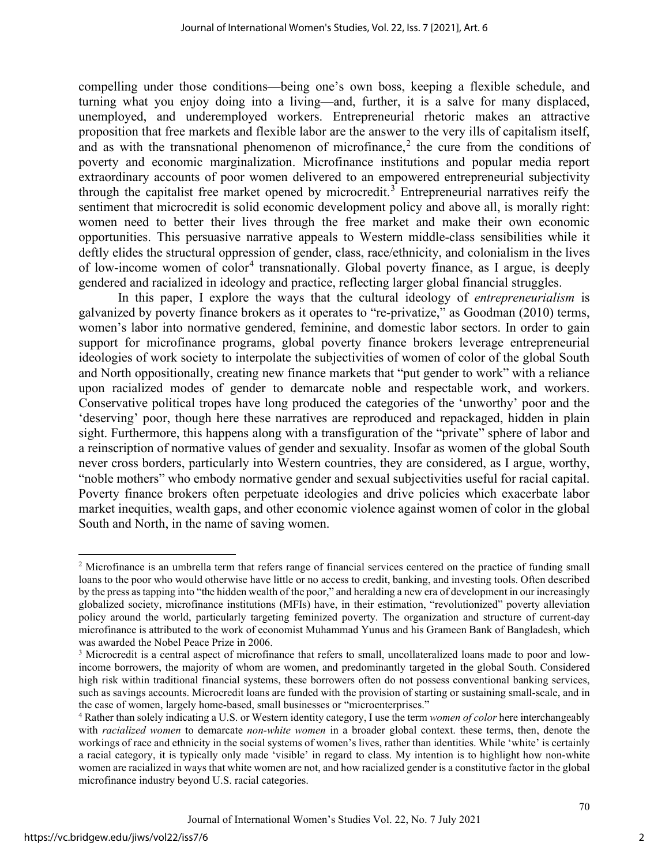compelling under those conditions—being one's own boss, keeping a flexible schedule, and turning what you enjoy doing into a living—and, further, it is a salve for many displaced, unemployed, and underemployed workers. Entrepreneurial rhetoric makes an attractive proposition that free markets and flexible labor are the answer to the very ills of capitalism itself, and as with the transnational phenomenon of microfinance,<sup>[2](#page-2-0)</sup> the cure from the conditions of poverty and economic marginalization. Microfinance institutions and popular media report extraordinary accounts of poor women delivered to an empowered entrepreneurial subjectivity through the capitalist free market opened by microcredit. [3](#page-2-1) Entrepreneurial narratives reify the sentiment that microcredit is solid economic development policy and above all, is morally right: women need to better their lives through the free market and make their own economic opportunities. This persuasive narrative appeals to Western middle-class sensibilities while it deftly elides the structural oppression of gender, class, race/ethnicity, and colonialism in the lives of low-income women of color<sup>[4](#page-2-2)</sup> transnationally. Global poverty finance, as I argue, is deeply gendered and racialized in ideology and practice, reflecting larger global financial struggles.

In this paper, I explore the ways that the cultural ideology of *entrepreneurialism* is galvanized by poverty finance brokers as it operates to "re-privatize," as Goodman (2010) terms, women's labor into normative gendered, feminine, and domestic labor sectors. In order to gain support for microfinance programs, global poverty finance brokers leverage entrepreneurial ideologies of work society to interpolate the subjectivities of women of color of the global South and North oppositionally, creating new finance markets that "put gender to work" with a reliance upon racialized modes of gender to demarcate noble and respectable work, and workers. Conservative political tropes have long produced the categories of the 'unworthy' poor and the 'deserving' poor, though here these narratives are reproduced and repackaged, hidden in plain sight. Furthermore, this happens along with a transfiguration of the "private" sphere of labor and a reinscription of normative values of gender and sexuality. Insofar as women of the global South never cross borders, particularly into Western countries, they are considered, as I argue, worthy, "noble mothers" who embody normative gender and sexual subjectivities useful for racial capital. Poverty finance brokers often perpetuate ideologies and drive policies which exacerbate labor market inequities, wealth gaps, and other economic violence against women of color in the global South and North, in the name of saving women.

2

<span id="page-2-0"></span><sup>&</sup>lt;sup>2</sup> Microfinance is an umbrella term that refers range of financial services centered on the practice of funding small loans to the poor who would otherwise have little or no access to credit, banking, and investing tools. Often described by the press as tapping into "the hidden wealth of the poor," and heralding a new era of development in our increasingly globalized society, microfinance institutions (MFIs) have, in their estimation, "revolutionized" poverty alleviation policy around the world, particularly targeting feminized poverty. The organization and structure of current-day microfinance is attributed to the work of economist Muhammad Yunus and his Grameen Bank of Bangladesh, which was awarded the Nobel Peace Prize in 2006.<br><sup>3</sup> Microcredit is a central aspect of microfinance that refers to small, uncollateralized loans made to poor and low-

<span id="page-2-1"></span>income borrowers, the majority of whom are women, and predominantly targeted in the global South. Considered high risk within traditional financial systems, these borrowers often do not possess conventional banking services, such as savings accounts. Microcredit loans are funded with the provision of starting or sustaining small-scale, and in the case of women, largely home-based, small businesses or "microenterprises."

<span id="page-2-2"></span><sup>4</sup> Rather than solely indicating a U.S. or Western identity category, I use the term *women of color* here interchangeably with *racialized women* to demarcate *non-white women* in a broader global context. these terms, then, denote the workings of race and ethnicity in the social systems of women's lives, rather than identities. While 'white' is certainly a racial category, it is typically only made 'visible' in regard to class. My intention is to highlight how non-white women are racialized in ways that white women are not, and how racialized gender is a constitutive factor in the global microfinance industry beyond U.S. racial categories.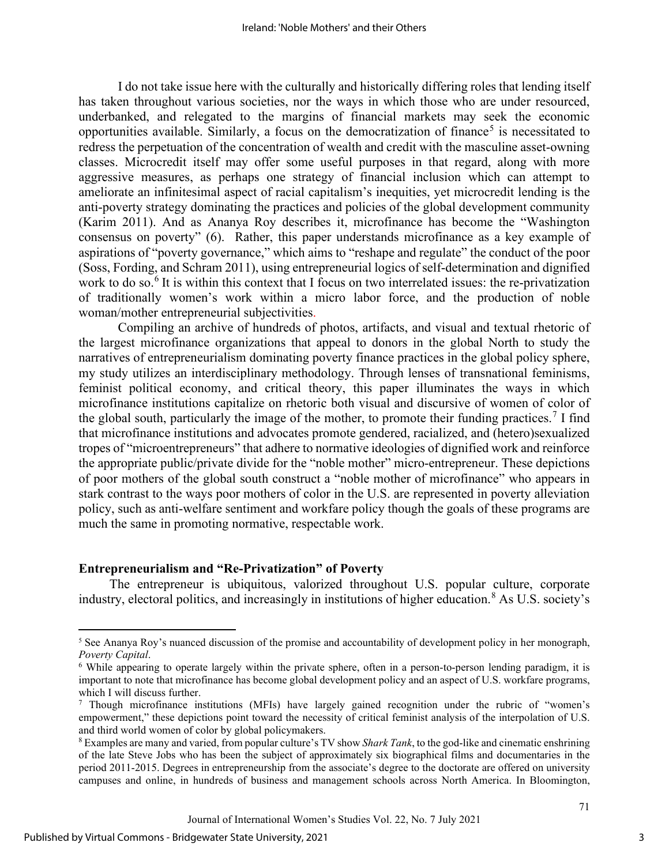I do not take issue here with the culturally and historically differing roles that lending itself has taken throughout various societies, nor the ways in which those who are under resourced, underbanked, and relegated to the margins of financial markets may seek the economic opportunities available. Similarly, a focus on the democratization of finance<sup>[5](#page-3-0)</sup> is necessitated to redress the perpetuation of the concentration of wealth and credit with the masculine asset-owning classes. Microcredit itself may offer some useful purposes in that regard, along with more aggressive measures, as perhaps one strategy of financial inclusion which can attempt to ameliorate an infinitesimal aspect of racial capitalism's inequities, yet microcredit lending is the anti-poverty strategy dominating the practices and policies of the global development community (Karim 2011). And as Ananya Roy describes it, microfinance has become the "Washington consensus on poverty" (6). Rather, this paper understands microfinance as a key example of aspirations of "poverty governance," which aims to "reshape and regulate" the conduct of the poor (Soss, Fording, and Schram 2011), using entrepreneurial logics of self-determination and dignified work to do so.<sup>[6](#page-3-1)</sup> It is within this context that I focus on two interrelated issues: the re-privatization of traditionally women's work within a micro labor force, and the production of noble woman/mother entrepreneurial subjectivities.

Compiling an archive of hundreds of photos, artifacts, and visual and textual rhetoric of the largest microfinance organizations that appeal to donors in the global North to study the narratives of entrepreneurialism dominating poverty finance practices in the global policy sphere, my study utilizes an interdisciplinary methodology. Through lenses of transnational feminisms, feminist political economy, and critical theory, this paper illuminates the ways in which microfinance institutions capitalize on rhetoric both visual and discursive of women of color of the global south, particularly the image of the mother, to promote their funding practices.<sup>[7](#page-3-2)</sup> I find that microfinance institutions and advocates promote gendered, racialized, and (hetero)sexualized tropes of "microentrepreneurs" that adhere to normative ideologies of dignified work and reinforce the appropriate public/private divide for the "noble mother" micro-entrepreneur. These depictions of poor mothers of the global south construct a "noble mother of microfinance" who appears in stark contrast to the ways poor mothers of color in the U.S. are represented in poverty alleviation policy, such as anti-welfare sentiment and workfare policy though the goals of these programs are much the same in promoting normative, respectable work.

## **Entrepreneurialism and "Re-Privatization" of Poverty**

The entrepreneur is ubiquitous, valorized throughout U.S. popular culture, corporate industry, electoral politics, and increasingly in institutions of higher education.<sup>[8](#page-3-3)</sup> As U.S. society's

<span id="page-3-0"></span><sup>5</sup> See Ananya Roy's nuanced discussion of the promise and accountability of development policy in her monograph, *Poverty Capital.*<br><sup>6</sup> While appearing to operate largely within the private sphere, often in a person-to-person lending paradigm, it is

<span id="page-3-1"></span>important to note that microfinance has become global development policy and an aspect of U.S. workfare programs, which I will discuss further.

<span id="page-3-2"></span> $\frac{7}{10}$  Though microfinance institutions (MFIs) have largely gained recognition under the rubric of "women's empowerment," these depictions point toward the necessity of critical feminist analysis of the interpolation of U.S. and third world women of color by global policymakers.

<span id="page-3-3"></span><sup>8</sup> Examples are many and varied, from popular culture's TV show *Shark Tank*, to the god-like and cinematic enshrining of the late Steve Jobs who has been the subject of approximately six biographical films and documentaries in the period 2011-2015. Degrees in entrepreneurship from the associate's degree to the doctorate are offered on university campuses and online, in hundreds of business and management schools across North America. In Bloomington,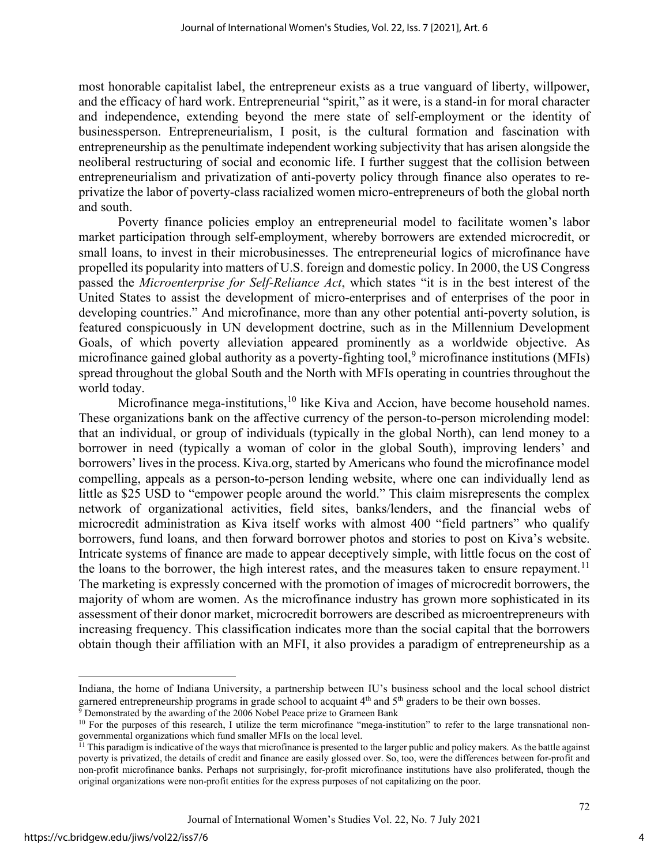most honorable capitalist label, the entrepreneur exists as a true vanguard of liberty, willpower, and the efficacy of hard work. Entrepreneurial "spirit," as it were, is a stand-in for moral character and independence, extending beyond the mere state of self-employment or the identity of businessperson. Entrepreneurialism, I posit, is the cultural formation and fascination with entrepreneurship as the penultimate independent working subjectivity that has arisen alongside the neoliberal restructuring of social and economic life. I further suggest that the collision between entrepreneurialism and privatization of anti-poverty policy through finance also operates to reprivatize the labor of poverty-class racialized women micro-entrepreneurs of both the global north and south.

Poverty finance policies employ an entrepreneurial model to facilitate women's labor market participation through self-employment, whereby borrowers are extended microcredit, or small loans, to invest in their microbusinesses. The entrepreneurial logics of microfinance have propelled its popularity into matters of U.S. foreign and domestic policy. In 2000, the US Congress passed the *Microenterprise for Self-Reliance Act*, which states "it is in the best interest of the United States to assist the development of micro-enterprises and of enterprises of the poor in developing countries." And microfinance, more than any other potential anti-poverty solution, is featured conspicuously in UN development doctrine, such as in the Millennium Development Goals, of which poverty alleviation appeared prominently as a worldwide objective. As microfinance gained global authority as a poverty-fighting tool,<sup>[9](#page-4-0)</sup> microfinance institutions (MFIs) spread throughout the global South and the North with MFIs operating in countries throughout the world today.

Microfinance mega-institutions,  $10$  like Kiva and Accion, have become household names. These organizations bank on the affective currency of the person-to-person microlending model: that an individual, or group of individuals (typically in the global North), can lend money to a borrower in need (typically a woman of color in the global South), improving lenders' and borrowers' lives in the process. Kiva.org, started by Americans who found the microfinance model compelling, appeals as a person-to-person lending website, where one can individually lend as little as \$25 USD to "empower people around the world." This claim misrepresents the complex network of organizational activities, field sites, banks/lenders, and the financial webs of microcredit administration as Kiva itself works with almost 400 "field partners" who qualify borrowers, fund loans, and then forward borrower photos and stories to post on Kiva's website. Intricate systems of finance are made to appear deceptively simple, with little focus on the cost of the loans to the borrower, the high interest rates, and the measures taken to ensure repayment.<sup>[11](#page-4-2)</sup> The marketing is expressly concerned with the promotion of images of microcredit borrowers, the majority of whom are women. As the microfinance industry has grown more sophisticated in its assessment of their donor market, microcredit borrowers are described as microentrepreneurs with increasing frequency. This classification indicates more than the social capital that the borrowers obtain though their affiliation with an MFI, it also provides a paradigm of entrepreneurship as a

Indiana, the home of Indiana University, a partnership between IU's business school and the local school district garnered entrepreneurship programs in grade school to acquaint  $4<sup>th</sup>$  and  $5<sup>th</sup>$  graders to be their own bosses.

<span id="page-4-0"></span> $9$  Demonstrated by the awarding of the 2006 Nobel Peace prize to Grameen Bank

<span id="page-4-1"></span><sup>&</sup>lt;sup>10</sup> For the purposes of this research, I utilize the term microfinance "mega-institution" to refer to the large transnational nongovernmental organizations which fund smaller MFIs on the local level.

<span id="page-4-2"></span><sup>&</sup>lt;sup>11</sup> This paradigm is indicative of the ways that microfinance is presented to the larger public and policy makers. As the battle against poverty is privatized, the details of credit and finance are easily glossed over. So, too, were the differences between for-profit and non-profit microfinance banks. Perhaps not surprisingly, for-profit microfinance institutions have also proliferated, though the original organizations were non-profit entities for the express purposes of not capitalizing on the poor.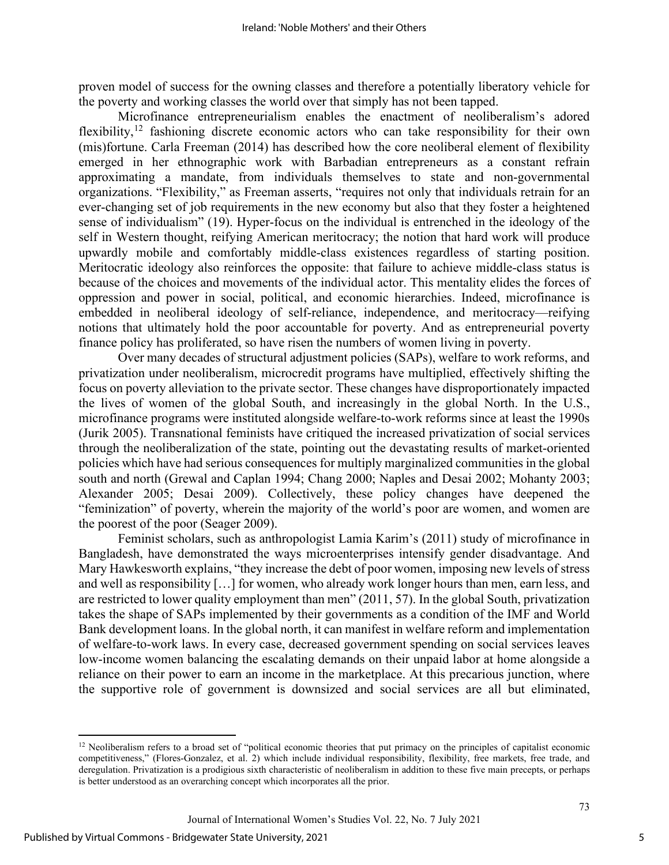proven model of success for the owning classes and therefore a potentially liberatory vehicle for the poverty and working classes the world over that simply has not been tapped.

Microfinance entrepreneurialism enables the enactment of neoliberalism's adored flexibility,<sup>[12](#page-5-0)</sup> fashioning discrete economic actors who can take responsibility for their own (mis)fortune. Carla Freeman (2014) has described how the core neoliberal element of flexibility emerged in her ethnographic work with Barbadian entrepreneurs as a constant refrain approximating a mandate, from individuals themselves to state and non-governmental organizations. "Flexibility," as Freeman asserts, "requires not only that individuals retrain for an ever-changing set of job requirements in the new economy but also that they foster a heightened sense of individualism" (19). Hyper-focus on the individual is entrenched in the ideology of the self in Western thought, reifying American meritocracy; the notion that hard work will produce upwardly mobile and comfortably middle-class existences regardless of starting position. Meritocratic ideology also reinforces the opposite: that failure to achieve middle-class status is because of the choices and movements of the individual actor. This mentality elides the forces of oppression and power in social, political, and economic hierarchies. Indeed, microfinance is embedded in neoliberal ideology of self-reliance, independence, and meritocracy—reifying notions that ultimately hold the poor accountable for poverty. And as entrepreneurial poverty finance policy has proliferated, so have risen the numbers of women living in poverty.

Over many decades of structural adjustment policies (SAPs), welfare to work reforms, and privatization under neoliberalism, microcredit programs have multiplied, effectively shifting the focus on poverty alleviation to the private sector. These changes have disproportionately impacted the lives of women of the global South, and increasingly in the global North. In the U.S., microfinance programs were instituted alongside welfare-to-work reforms since at least the 1990s (Jurik 2005). Transnational feminists have critiqued the increased privatization of social services through the neoliberalization of the state, pointing out the devastating results of market-oriented policies which have had serious consequences for multiply marginalized communities in the global south and north (Grewal and Caplan 1994; Chang 2000; Naples and Desai 2002; Mohanty 2003; Alexander 2005; Desai 2009). Collectively, these policy changes have deepened the "feminization" of poverty, wherein the majority of the world's poor are women, and women are the poorest of the poor (Seager 2009).

Feminist scholars, such as anthropologist Lamia Karim's (2011) study of microfinance in Bangladesh, have demonstrated the ways microenterprises intensify gender disadvantage. And Mary Hawkesworth explains, "they increase the debt of poor women, imposing new levels of stress and well as responsibility […] for women, who already work longer hours than men, earn less, and are restricted to lower quality employment than men" (2011, 57). In the global South, privatization takes the shape of SAPs implemented by their governments as a condition of the IMF and World Bank development loans. In the global north, it can manifest in welfare reform and implementation of welfare-to-work laws. In every case, decreased government spending on social services leaves low-income women balancing the escalating demands on their unpaid labor at home alongside a reliance on their power to earn an income in the marketplace. At this precarious junction, where the supportive role of government is downsized and social services are all but eliminated,

<span id="page-5-0"></span><sup>&</sup>lt;sup>12</sup> Neoliberalism refers to a broad set of "political economic theories that put primacy on the principles of capitalist economic competitiveness," (Flores-Gonzalez, et al. 2) which include individual responsibility, flexibility, free markets, free trade, and deregulation. Privatization is a prodigious sixth characteristic of neoliberalism in addition to these five main precepts, or perhaps is better understood as an overarching concept which incorporates all the prior.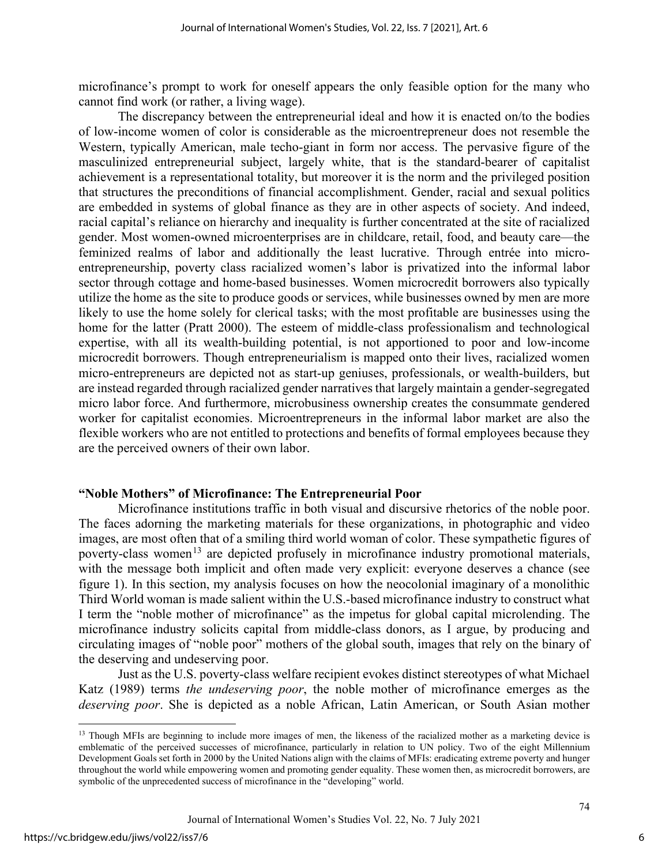microfinance's prompt to work for oneself appears the only feasible option for the many who cannot find work (or rather, a living wage).

The discrepancy between the entrepreneurial ideal and how it is enacted on/to the bodies of low-income women of color is considerable as the microentrepreneur does not resemble the Western, typically American, male techo-giant in form nor access. The pervasive figure of the masculinized entrepreneurial subject, largely white, that is the standard-bearer of capitalist achievement is a representational totality, but moreover it is the norm and the privileged position that structures the preconditions of financial accomplishment. Gender, racial and sexual politics are embedded in systems of global finance as they are in other aspects of society. And indeed, racial capital's reliance on hierarchy and inequality is further concentrated at the site of racialized gender. Most women-owned microenterprises are in childcare, retail, food, and beauty care—the feminized realms of labor and additionally the least lucrative. Through entrée into microentrepreneurship, poverty class racialized women's labor is privatized into the informal labor sector through cottage and home-based businesses. Women microcredit borrowers also typically utilize the home as the site to produce goods or services, while businesses owned by men are more likely to use the home solely for clerical tasks; with the most profitable are businesses using the home for the latter (Pratt 2000). The esteem of middle-class professionalism and technological expertise, with all its wealth-building potential, is not apportioned to poor and low-income microcredit borrowers. Though entrepreneurialism is mapped onto their lives, racialized women micro-entrepreneurs are depicted not as start-up geniuses, professionals, or wealth-builders, but are instead regarded through racialized gender narratives that largely maintain a gender-segregated micro labor force. And furthermore, microbusiness ownership creates the consummate gendered worker for capitalist economies. Microentrepreneurs in the informal labor market are also the flexible workers who are not entitled to protections and benefits of formal employees because they are the perceived owners of their own labor.

## **"Noble Mothers" of Microfinance: The Entrepreneurial Poor**

Microfinance institutions traffic in both visual and discursive rhetorics of the noble poor. The faces adorning the marketing materials for these organizations, in photographic and video images, are most often that of a smiling third world woman of color. These sympathetic figures of poverty-class women<sup>[13](#page-6-0)</sup> are depicted profusely in microfinance industry promotional materials, with the message both implicit and often made very explicit: everyone deserves a chance (see figure 1). In this section, my analysis focuses on how the neocolonial imaginary of a monolithic Third World woman is made salient within the U.S.-based microfinance industry to construct what I term the "noble mother of microfinance" as the impetus for global capital microlending. The microfinance industry solicits capital from middle-class donors, as I argue, by producing and circulating images of "noble poor" mothers of the global south, images that rely on the binary of the deserving and undeserving poor.

Just as the U.S. poverty-class welfare recipient evokes distinct stereotypes of what Michael Katz (1989) terms *the undeserving poor*, the noble mother of microfinance emerges as the *deserving poor*. She is depicted as a noble African, Latin American, or South Asian mother

<span id="page-6-0"></span><sup>&</sup>lt;sup>13</sup> Though MFIs are beginning to include more images of men, the likeness of the racialized mother as a marketing device is emblematic of the perceived successes of microfinance, particularly in relation to UN policy. Two of the eight Millennium Development Goals set forth in 2000 by the United Nations align with the claims of MFIs: eradicating extreme poverty and hunger throughout the world while empowering women and promoting gender equality. These women then, as microcredit borrowers, are symbolic of the unprecedented success of microfinance in the "developing" world.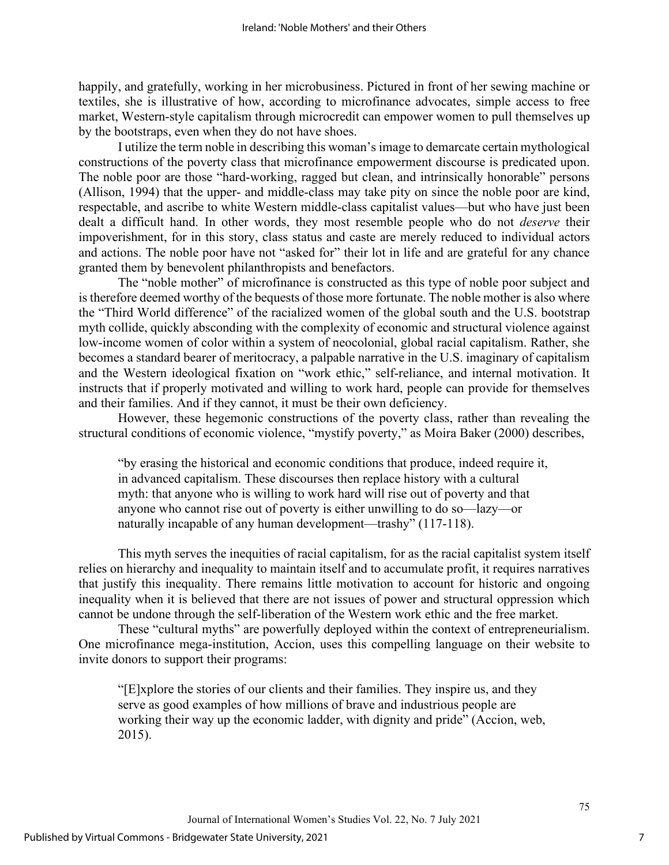happily, and gratefully, working in her microbusiness. Pictured in front of her sewing machine or textiles, she is illustrative of how, according to microfinance advocates, simple access to free market, Western-style capitalism through microcredit can empower women to pull themselves up by the bootstraps, even when they do not have shoes.

I utilize the term noble in describing this woman's image to demarcate certain mythological constructions of the poverty class that microfinance empowerment discourse is predicated upon. The noble poor are those "hard-working, ragged but clean, and intrinsically honorable" persons (Allison, 1994) that the upper- and middle-class may take pity on since the noble poor are kind, respectable, and ascribe to white Western middle-class capitalist values—but who have just been dealt a difficult hand. In other words, they most resemble people who do not *deserve* their impoverishment, for in this story, class status and caste are merely reduced to individual actors and actions. The noble poor have not "asked for" their lot in life and are grateful for any chance granted them by benevolent philanthropists and benefactors.

The "noble mother" of microfinance is constructed as this type of noble poor subject and is therefore deemed worthy of the bequests of those more fortunate. The noble mother is also where the "Third World difference" of the racialized women of the global south and the U.S. bootstrap myth collide, quickly absconding with the complexity of economic and structural violence against low-income women of color within a system of neocolonial, global racial capitalism. Rather, she becomes a standard bearer of meritocracy, a palpable narrative in the U.S. imaginary of capitalism and the Western ideological fixation on "work ethic," self-reliance, and internal motivation. It instructs that if properly motivated and willing to work hard, people can provide for themselves and their families. And if they cannot, it must be their own deficiency.

However, these hegemonic constructions of the poverty class, rather than revealing the structural conditions of economic violence, "mystify poverty," as Moira Baker (2000) describes,

"by erasing the historical and economic conditions that produce, indeed require it, in advanced capitalism. These discourses then replace history with a cultural myth: that anyone who is willing to work hard will rise out of poverty and that anyone who cannot rise out of poverty is either unwilling to do so—lazy—or naturally incapable of any human development—trashy" (117-118).

This myth serves the inequities of racial capitalism, for as the racial capitalist system itself relies on hierarchy and inequality to maintain itself and to accumulate profit, it requires narratives that justify this inequality. There remains little motivation to account for historic and ongoing inequality when it is believed that there are not issues of power and structural oppression which cannot be undone through the self-liberation of the Western work ethic and the free market.

These "cultural myths" are powerfully deployed within the context of entrepreneurialism. One microfinance mega-institution, Accion, uses this compelling language on their website to invite donors to support their programs:

"[E]xplore the stories of our clients and their families. They inspire us, and they serve as good examples of how millions of brave and industrious people are working their way up the economic ladder, with dignity and pride" (Accion, web, 2015).

Journal of International Women's Studies Vol. 22, No. 7 July 2021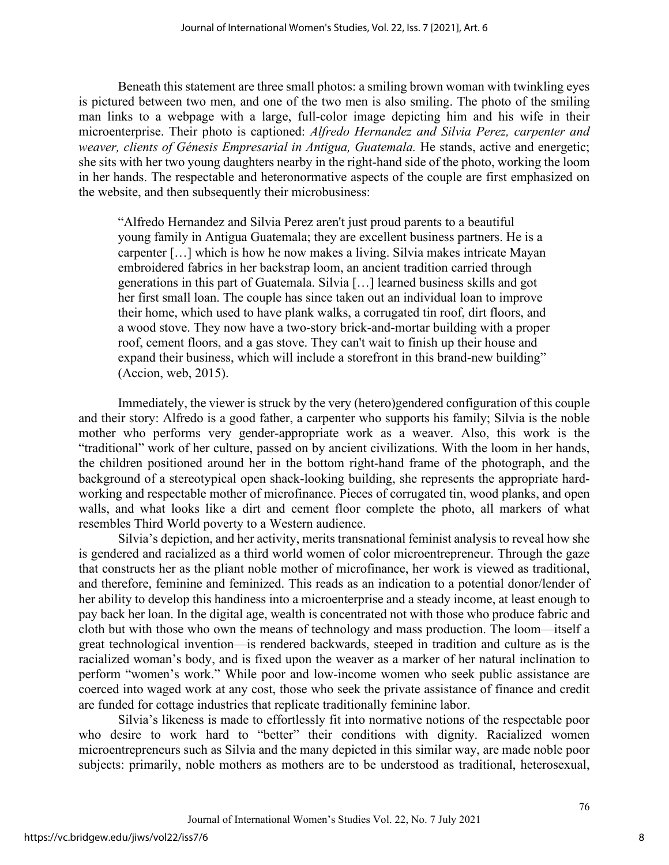Beneath this statement are three small photos: a smiling brown woman with twinkling eyes is pictured between two men, and one of the two men is also smiling. The photo of the smiling man links to a webpage with a large, full-color image depicting him and his wife in their microenterprise. Their photo is captioned: *Alfredo Hernandez and Silvia Perez, carpenter and weaver, clients of Génesis Empresarial in Antigua, Guatemala.* He stands, active and energetic; she sits with her two young daughters nearby in the right-hand side of the photo, working the loom in her hands. The respectable and heteronormative aspects of the couple are first emphasized on the website, and then subsequently their microbusiness:

"Alfredo Hernandez and Silvia Perez aren't just proud parents to a beautiful young family in Antigua Guatemala; they are excellent business partners. He is a carpenter […] which is how he now makes a living. Silvia makes intricate Mayan embroidered fabrics in her backstrap loom, an ancient tradition carried through generations in this part of Guatemala. Silvia […] learned business skills and got her first small loan. The couple has since taken out an individual loan to improve their home, which used to have plank walks, a corrugated tin roof, dirt floors, and a wood stove. They now have a two-story brick-and-mortar building with a proper roof, cement floors, and a gas stove. They can't wait to finish up their house and expand their business, which will include a storefront in this brand-new building" (Accion, web, 2015).

Immediately, the viewer is struck by the very (hetero)gendered configuration of this couple and their story: Alfredo is a good father, a carpenter who supports his family; Silvia is the noble mother who performs very gender-appropriate work as a weaver. Also, this work is the "traditional" work of her culture, passed on by ancient civilizations. With the loom in her hands, the children positioned around her in the bottom right-hand frame of the photograph, and the background of a stereotypical open shack-looking building, she represents the appropriate hardworking and respectable mother of microfinance. Pieces of corrugated tin, wood planks, and open walls, and what looks like a dirt and cement floor complete the photo, all markers of what resembles Third World poverty to a Western audience.

Silvia's depiction, and her activity, merits transnational feminist analysis to reveal how she is gendered and racialized as a third world women of color microentrepreneur. Through the gaze that constructs her as the pliant noble mother of microfinance, her work is viewed as traditional, and therefore, feminine and feminized. This reads as an indication to a potential donor/lender of her ability to develop this handiness into a microenterprise and a steady income, at least enough to pay back her loan. In the digital age, wealth is concentrated not with those who produce fabric and cloth but with those who own the means of technology and mass production. The loom—itself a great technological invention—is rendered backwards, steeped in tradition and culture as is the racialized woman's body, and is fixed upon the weaver as a marker of her natural inclination to perform "women's work." While poor and low-income women who seek public assistance are coerced into waged work at any cost, those who seek the private assistance of finance and credit are funded for cottage industries that replicate traditionally feminine labor.

Silvia's likeness is made to effortlessly fit into normative notions of the respectable poor who desire to work hard to "better" their conditions with dignity. Racialized women microentrepreneurs such as Silvia and the many depicted in this similar way, are made noble poor subjects: primarily, noble mothers as mothers are to be understood as traditional, heterosexual,

8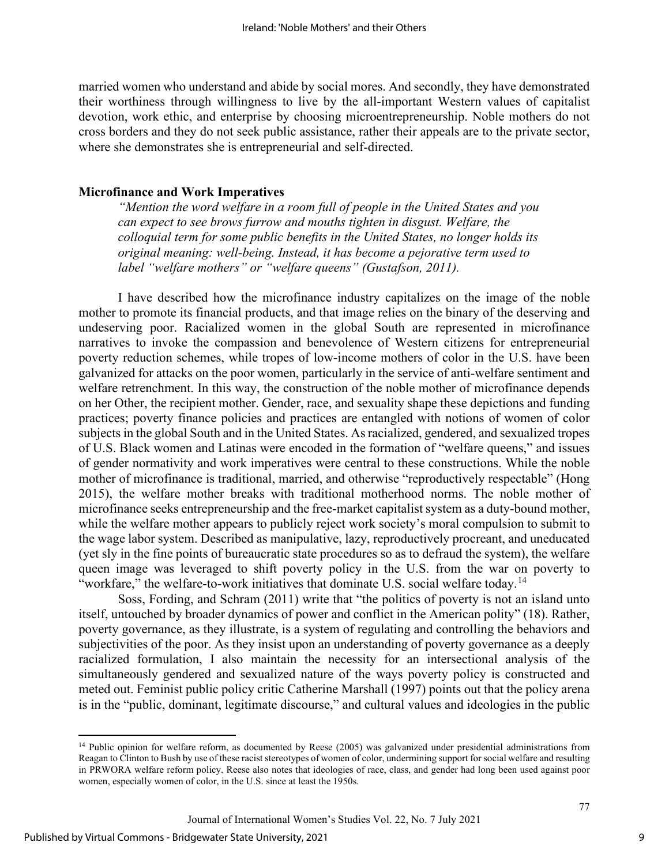married women who understand and abide by social mores. And secondly, they have demonstrated their worthiness through willingness to live by the all-important Western values of capitalist devotion, work ethic, and enterprise by choosing microentrepreneurship. Noble mothers do not cross borders and they do not seek public assistance, rather their appeals are to the private sector, where she demonstrates she is entrepreneurial and self-directed.

## **Microfinance and Work Imperatives**

*"Mention the word welfare in a room full of people in the United States and you can expect to see brows furrow and mouths tighten in disgust. Welfare, the colloquial term for some public benefits in the United States, no longer holds its original meaning: well-being. Instead, it has become a pejorative term used to label "welfare mothers" or "welfare queens" (Gustafson, 2011).* 

I have described how the microfinance industry capitalizes on the image of the noble mother to promote its financial products, and that image relies on the binary of the deserving and undeserving poor. Racialized women in the global South are represented in microfinance narratives to invoke the compassion and benevolence of Western citizens for entrepreneurial poverty reduction schemes, while tropes of low-income mothers of color in the U.S. have been galvanized for attacks on the poor women, particularly in the service of anti-welfare sentiment and welfare retrenchment. In this way, the construction of the noble mother of microfinance depends on her Other, the recipient mother. Gender, race, and sexuality shape these depictions and funding practices; poverty finance policies and practices are entangled with notions of women of color subjects in the global South and in the United States. As racialized, gendered, and sexualized tropes of U.S. Black women and Latinas were encoded in the formation of "welfare queens," and issues of gender normativity and work imperatives were central to these constructions. While the noble mother of microfinance is traditional, married, and otherwise "reproductively respectable" (Hong 2015), the welfare mother breaks with traditional motherhood norms. The noble mother of microfinance seeks entrepreneurship and the free-market capitalist system as a duty-bound mother, while the welfare mother appears to publicly reject work society's moral compulsion to submit to the wage labor system. Described as manipulative, lazy, reproductively procreant, and uneducated (yet sly in the fine points of bureaucratic state procedures so as to defraud the system), the welfare queen image was leveraged to shift poverty policy in the U.S. from the war on poverty to "workfare," the welfare-to-work initiatives that dominate U.S. social welfare today.<sup>[14](#page-9-0)</sup>

Soss, Fording, and Schram (2011) write that "the politics of poverty is not an island unto itself, untouched by broader dynamics of power and conflict in the American polity" (18). Rather, poverty governance, as they illustrate, is a system of regulating and controlling the behaviors and subjectivities of the poor. As they insist upon an understanding of poverty governance as a deeply racialized formulation, I also maintain the necessity for an intersectional analysis of the simultaneously gendered and sexualized nature of the ways poverty policy is constructed and meted out. Feminist public policy critic Catherine Marshall (1997) points out that the policy arena is in the "public, dominant, legitimate discourse," and cultural values and ideologies in the public

9

<span id="page-9-0"></span><sup>&</sup>lt;sup>14</sup> Public opinion for welfare reform, as documented by Reese (2005) was galvanized under presidential administrations from Reagan to Clinton to Bush by use of these racist stereotypes of women of color, undermining support for social welfare and resulting in PRWORA welfare reform policy. Reese also notes that ideologies of race, class, and gender had long been used against poor women, especially women of color, in the U.S. since at least the 1950s.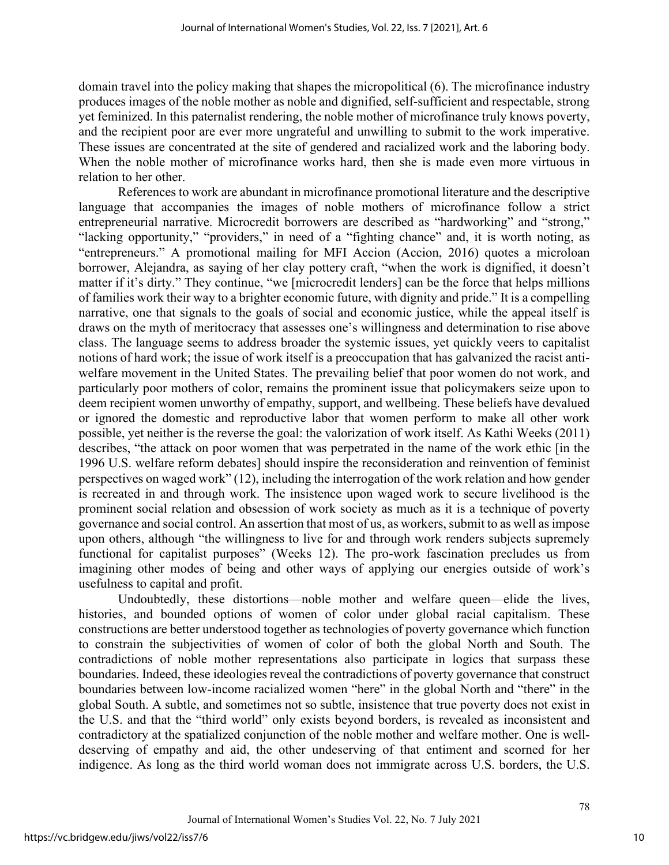domain travel into the policy making that shapes the micropolitical (6). The microfinance industry produces images of the noble mother as noble and dignified, self-sufficient and respectable, strong yet feminized. In this paternalist rendering, the noble mother of microfinance truly knows poverty, and the recipient poor are ever more ungrateful and unwilling to submit to the work imperative. These issues are concentrated at the site of gendered and racialized work and the laboring body. When the noble mother of microfinance works hard, then she is made even more virtuous in relation to her other.

References to work are abundant in microfinance promotional literature and the descriptive language that accompanies the images of noble mothers of microfinance follow a strict entrepreneurial narrative. Microcredit borrowers are described as "hardworking" and "strong," "lacking opportunity," "providers," in need of a "fighting chance" and, it is worth noting, as "entrepreneurs." A promotional mailing for MFI Accion (Accion, 2016) quotes a microloan borrower, Alejandra, as saying of her clay pottery craft, "when the work is dignified, it doesn't matter if it's dirty." They continue, "we [microcredit lenders] can be the force that helps millions of families work their way to a brighter economic future, with dignity and pride." It is a compelling narrative, one that signals to the goals of social and economic justice, while the appeal itself is draws on the myth of meritocracy that assesses one's willingness and determination to rise above class. The language seems to address broader the systemic issues, yet quickly veers to capitalist notions of hard work; the issue of work itself is a preoccupation that has galvanized the racist antiwelfare movement in the United States. The prevailing belief that poor women do not work, and particularly poor mothers of color, remains the prominent issue that policymakers seize upon to deem recipient women unworthy of empathy, support, and wellbeing. These beliefs have devalued or ignored the domestic and reproductive labor that women perform to make all other work possible, yet neither is the reverse the goal: the valorization of work itself. As Kathi Weeks (2011) describes, "the attack on poor women that was perpetrated in the name of the work ethic [in the 1996 U.S. welfare reform debates] should inspire the reconsideration and reinvention of feminist perspectives on waged work" (12), including the interrogation of the work relation and how gender is recreated in and through work. The insistence upon waged work to secure livelihood is the prominent social relation and obsession of work society as much as it is a technique of poverty governance and social control. An assertion that most of us, as workers, submit to as well as impose upon others, although "the willingness to live for and through work renders subjects supremely functional for capitalist purposes" (Weeks 12). The pro-work fascination precludes us from imagining other modes of being and other ways of applying our energies outside of work's usefulness to capital and profit.

Undoubtedly, these distortions—noble mother and welfare queen—elide the lives, histories, and bounded options of women of color under global racial capitalism. These constructions are better understood together as technologies of poverty governance which function to constrain the subjectivities of women of color of both the global North and South. The contradictions of noble mother representations also participate in logics that surpass these boundaries. Indeed, these ideologies reveal the contradictions of poverty governance that construct boundaries between low-income racialized women "here" in the global North and "there" in the global South. A subtle, and sometimes not so subtle, insistence that true poverty does not exist in the U.S. and that the "third world" only exists beyond borders, is revealed as inconsistent and contradictory at the spatialized conjunction of the noble mother and welfare mother. One is welldeserving of empathy and aid, the other undeserving of that entiment and scorned for her indigence. As long as the third world woman does not immigrate across U.S. borders, the U.S.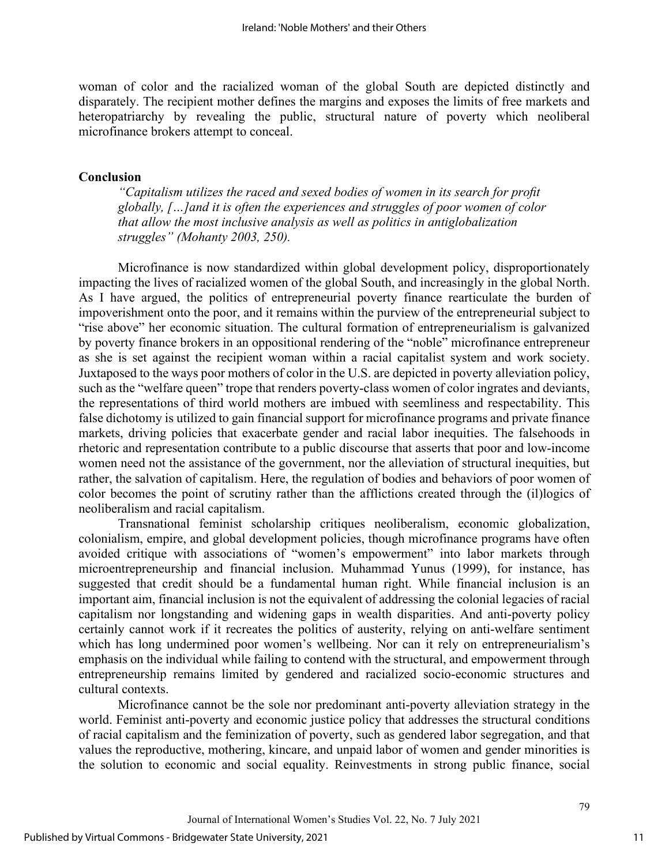woman of color and the racialized woman of the global South are depicted distinctly and disparately. The recipient mother defines the margins and exposes the limits of free markets and heteropatriarchy by revealing the public, structural nature of poverty which neoliberal microfinance brokers attempt to conceal.

## **Conclusion**

*"Capitalism utilizes the raced and sexed bodies of women in its search for profit globally, […]and it is often the experiences and struggles of poor women of color that allow the most inclusive analysis as well as politics in antiglobalization struggles" (Mohanty 2003, 250).* 

Microfinance is now standardized within global development policy, disproportionately impacting the lives of racialized women of the global South, and increasingly in the global North. As I have argued, the politics of entrepreneurial poverty finance rearticulate the burden of impoverishment onto the poor, and it remains within the purview of the entrepreneurial subject to "rise above" her economic situation. The cultural formation of entrepreneurialism is galvanized by poverty finance brokers in an oppositional rendering of the "noble" microfinance entrepreneur as she is set against the recipient woman within a racial capitalist system and work society. Juxtaposed to the ways poor mothers of color in the U.S. are depicted in poverty alleviation policy, such as the "welfare queen" trope that renders poverty-class women of color ingrates and deviants, the representations of third world mothers are imbued with seemliness and respectability. This false dichotomy is utilized to gain financial support for microfinance programs and private finance markets, driving policies that exacerbate gender and racial labor inequities. The falsehoods in rhetoric and representation contribute to a public discourse that asserts that poor and low-income women need not the assistance of the government, nor the alleviation of structural inequities, but rather, the salvation of capitalism. Here, the regulation of bodies and behaviors of poor women of color becomes the point of scrutiny rather than the afflictions created through the (il)logics of neoliberalism and racial capitalism.

Transnational feminist scholarship critiques neoliberalism, economic globalization, colonialism, empire, and global development policies, though microfinance programs have often avoided critique with associations of "women's empowerment" into labor markets through microentrepreneurship and financial inclusion. Muhammad Yunus (1999), for instance, has suggested that credit should be a fundamental human right. While financial inclusion is an important aim, financial inclusion is not the equivalent of addressing the colonial legacies of racial capitalism nor longstanding and widening gaps in wealth disparities. And anti-poverty policy certainly cannot work if it recreates the politics of austerity, relying on anti-welfare sentiment which has long undermined poor women's wellbeing. Nor can it rely on entrepreneurialism's emphasis on the individual while failing to contend with the structural, and empowerment through entrepreneurship remains limited by gendered and racialized socio-economic structures and cultural contexts.

Microfinance cannot be the sole nor predominant anti-poverty alleviation strategy in the world. Feminist anti-poverty and economic justice policy that addresses the structural conditions of racial capitalism and the feminization of poverty, such as gendered labor segregation, and that values the reproductive, mothering, kincare, and unpaid labor of women and gender minorities is the solution to economic and social equality. Reinvestments in strong public finance, social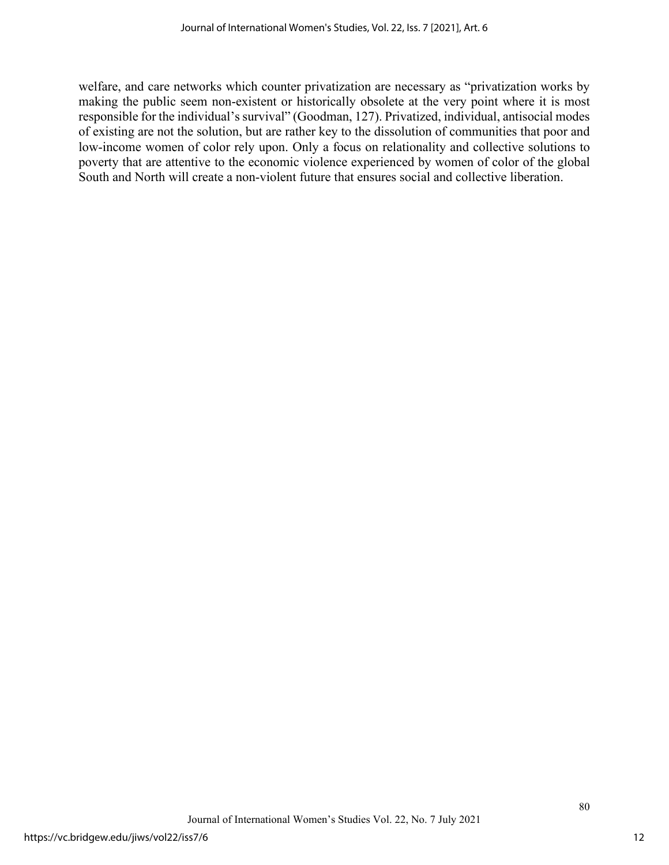welfare, and care networks which counter privatization are necessary as "privatization works by making the public seem non-existent or historically obsolete at the very point where it is most responsible for the individual's survival" (Goodman, 127). Privatized, individual, antisocial modes of existing are not the solution, but are rather key to the dissolution of communities that poor and low-income women of color rely upon. Only a focus on relationality and collective solutions to poverty that are attentive to the economic violence experienced by women of color of the global South and North will create a non-violent future that ensures social and collective liberation.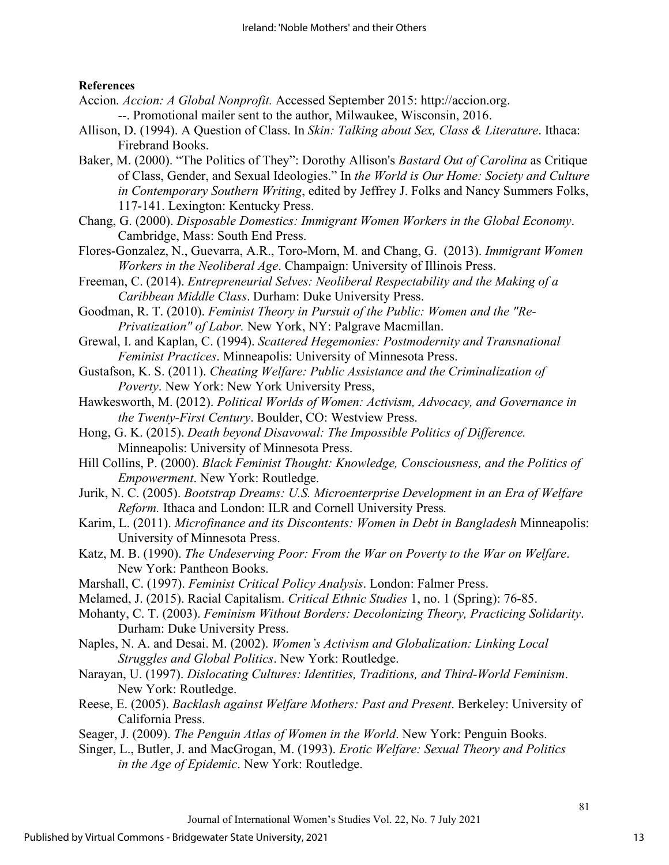## **References**

- Accion*. Accion: A Global Nonprofit.* Accessed September 2015: http://accion.org. --. Promotional mailer sent to the author, Milwaukee, Wisconsin, 2016.
- Allison, D. (1994). A Question of Class. In *Skin: Talking about Sex, Class & Literature*. Ithaca: Firebrand Books.
- Baker, M. (2000). "The Politics of They": Dorothy Allison's *Bastard Out of Carolina* as Critique of Class, Gender, and Sexual Ideologies." In *the World is Our Home: Society and Culture in Contemporary Southern Writing*, edited by Jeffrey J. Folks and Nancy Summers Folks, 117-141. Lexington: Kentucky Press.
- Chang, G. (2000). *Disposable Domestics: Immigrant Women Workers in the Global Economy*. Cambridge, Mass: South End Press.
- Flores-Gonzalez, N., Guevarra, A.R., Toro-Morn, M. and Chang, G. (2013). *Immigrant Women Workers in the Neoliberal Age*. Champaign: University of Illinois Press.
- Freeman, C. (2014). *Entrepreneurial Selves: Neoliberal Respectability and the Making of a Caribbean Middle Class*. Durham: Duke University Press.
- Goodman, R. T. (2010). *Feminist Theory in Pursuit of the Public: Women and the "Re-Privatization" of Labor.* New York, NY: Palgrave Macmillan.
- Grewal, I. and Kaplan, C. (1994). *Scattered Hegemonies: Postmodernity and Transnational Feminist Practices*. Minneapolis: University of Minnesota Press.
- Gustafson, K. S. (2011). *Cheating Welfare: Public Assistance and the Criminalization of Poverty*. New York: New York University Press,
- Hawkesworth, M. (2012). *Political Worlds of Women: Activism, Advocacy, and Governance in the Twenty-First Century*. Boulder, CO: Westview Press.
- Hong, G. K. (2015). *Death beyond Disavowal: The Impossible Politics of Difference.*  Minneapolis: University of Minnesota Press.
- Hill Collins, P. (2000). *Black Feminist Thought: Knowledge, Consciousness, and the Politics of Empowerment*. New York: Routledge.
- Jurik, N. C. (2005). *Bootstrap Dreams: U.S. Microenterprise Development in an Era of Welfare Reform.* Ithaca and London: ILR and Cornell University Press*.*
- Karim, L. (2011). *Microfinance and its Discontents: Women in Debt in Bangladesh* Minneapolis: University of Minnesota Press.
- Katz, M. B. (1990). *The Undeserving Poor: From the War on Poverty to the War on Welfare*. New York: Pantheon Books.
- Marshall, C. (1997). *Feminist Critical Policy Analysis*. London: Falmer Press.
- Melamed, J. (2015). Racial Capitalism. *Critical Ethnic Studies* 1, no. 1 (Spring): 76-85.
- Mohanty, C. T. (2003). *Feminism Without Borders: Decolonizing Theory, Practicing Solidarity*. Durham: Duke University Press.
- Naples, N. A. and Desai. M. (2002). *Women's Activism and Globalization: Linking Local Struggles and Global Politics*. New York: Routledge.
- Narayan, U. (1997). *Dislocating Cultures: Identities, Traditions, and Third-World Feminism*. New York: Routledge.
- Reese, E. (2005). *Backlash against Welfare Mothers: Past and Present*. Berkeley: University of California Press.
- Seager, J. (2009). *The Penguin Atlas of Women in the World*. New York: Penguin Books.
- Singer, L., Butler, J. and MacGrogan, M. (1993). *Erotic Welfare: Sexual Theory and Politics in the Age of Epidemic*. New York: Routledge.